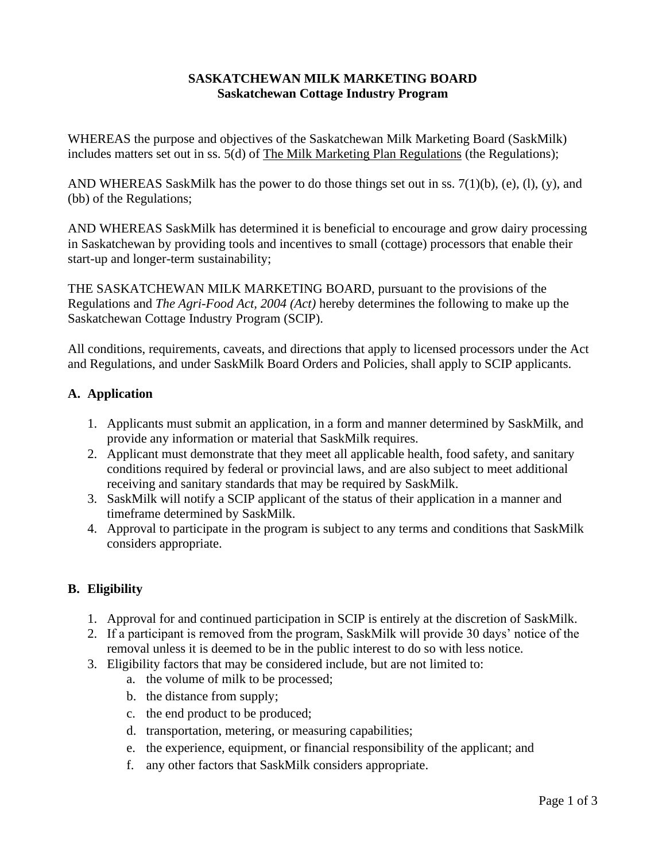#### **SASKATCHEWAN MILK MARKETING BOARD Saskatchewan Cottage Industry Program**

WHEREAS the purpose and objectives of the Saskatchewan Milk Marketing Board (SaskMilk) includes matters set out in ss. 5(d) of The Milk Marketing Plan Regulations (the Regulations);

AND WHEREAS SaskMilk has the power to do those things set out in ss.  $7(1)(b)$ , (e), (l), (y), and (bb) of the Regulations;

AND WHEREAS SaskMilk has determined it is beneficial to encourage and grow dairy processing in Saskatchewan by providing tools and incentives to small (cottage) processors that enable their start-up and longer-term sustainability;

THE SASKATCHEWAN MILK MARKETING BOARD, pursuant to the provisions of the Regulations and *The Agri-Food Act, 2004 (Act)* hereby determines the following to make up the Saskatchewan Cottage Industry Program (SCIP).

All conditions, requirements, caveats, and directions that apply to licensed processors under the Act and Regulations, and under SaskMilk Board Orders and Policies, shall apply to SCIP applicants.

# **A. Application**

- 1. Applicants must submit an application, in a form and manner determined by SaskMilk, and provide any information or material that SaskMilk requires.
- 2. Applicant must demonstrate that they meet all applicable health, food safety, and sanitary conditions required by federal or provincial laws, and are also subject to meet additional receiving and sanitary standards that may be required by SaskMilk.
- 3. SaskMilk will notify a SCIP applicant of the status of their application in a manner and timeframe determined by SaskMilk.
- 4. Approval to participate in the program is subject to any terms and conditions that SaskMilk considers appropriate.

#### **B. Eligibility**

- 1. Approval for and continued participation in SCIP is entirely at the discretion of SaskMilk.
- 2. If a participant is removed from the program, SaskMilk will provide 30 days' notice of the removal unless it is deemed to be in the public interest to do so with less notice.
- 3. Eligibility factors that may be considered include, but are not limited to:
	- a. the volume of milk to be processed;
	- b. the distance from supply;
	- c. the end product to be produced;
	- d. transportation, metering, or measuring capabilities;
	- e. the experience, equipment, or financial responsibility of the applicant; and
	- f. any other factors that SaskMilk considers appropriate.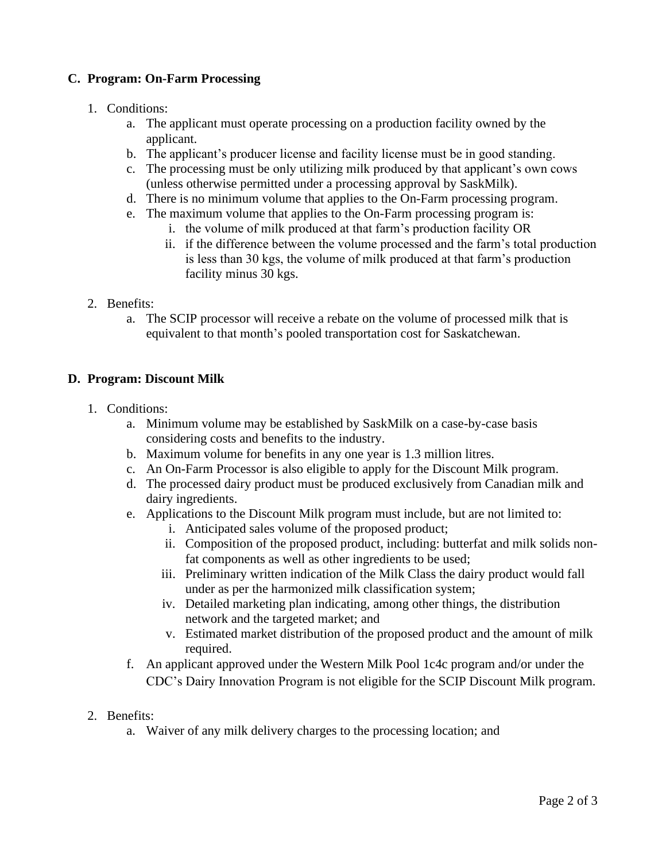## **C. Program: On-Farm Processing**

- 1. Conditions:
	- a. The applicant must operate processing on a production facility owned by the applicant.
	- b. The applicant's producer license and facility license must be in good standing.
	- c. The processing must be only utilizing milk produced by that applicant's own cows (unless otherwise permitted under a processing approval by SaskMilk).
	- d. There is no minimum volume that applies to the On-Farm processing program.
	- e. The maximum volume that applies to the On-Farm processing program is:
		- i. the volume of milk produced at that farm's production facility OR
		- ii. if the difference between the volume processed and the farm's total production is less than 30 kgs, the volume of milk produced at that farm's production facility minus 30 kgs.
- 2. Benefits:
	- a. The SCIP processor will receive a rebate on the volume of processed milk that is equivalent to that month's pooled transportation cost for Saskatchewan.

#### **D. Program: Discount Milk**

- 1. Conditions:
	- a. Minimum volume may be established by SaskMilk on a case-by-case basis considering costs and benefits to the industry.
	- b. Maximum volume for benefits in any one year is 1.3 million litres.
	- c. An On-Farm Processor is also eligible to apply for the Discount Milk program.
	- d. The processed dairy product must be produced exclusively from Canadian milk and dairy ingredients.
	- e. Applications to the Discount Milk program must include, but are not limited to:
		- i. Anticipated sales volume of the proposed product;
		- ii. Composition of the proposed product, including: butterfat and milk solids nonfat components as well as other ingredients to be used;
		- iii. Preliminary written indication of the Milk Class the dairy product would fall under as per the harmonized milk classification system;
		- iv. Detailed marketing plan indicating, among other things, the distribution network and the targeted market; and
		- v. Estimated market distribution of the proposed product and the amount of milk required.
	- f. An applicant approved under the Western Milk Pool 1c4c program and/or under the CDC's Dairy Innovation Program is not eligible for the SCIP Discount Milk program.
- 2. Benefits:
	- a. Waiver of any milk delivery charges to the processing location; and